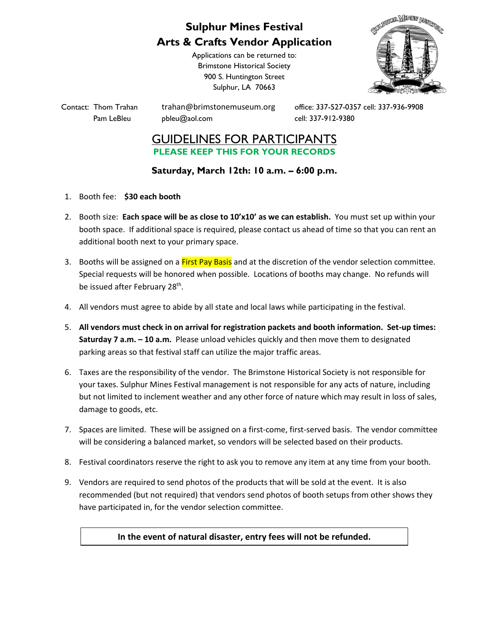## **Sulphur Mines Festival Arts & Crafts Vendor Application**

Applications can be returned to: Brimstone Historical Society 900 S. Huntington Street Sulphur, LA 70663



Pam LeBleu [pbleu@aol.com](mailto:pbleu@aol.com) cell: 337-912-9380

Contact: Thom Trahan [trahan@brimstonemuseum.org](mailto:trahan@brimstonemuseum.org) office: 337-527-0357 cell: 337-936-9908

## GUIDELINES FOR PARTICIPANTS **PLEASE KEEP THIS FOR YOUR RECORDS**

## **Saturday, March 12th: 10 a.m. – 6:00 p.m.**

- 1. Booth fee: **\$30 each booth**
- 2. Booth size: **Each space will be as close to 10'x10' as we can establish.** You must set up within your booth space. If additional space is required, please contact us ahead of time so that you can rent an additional booth next to your primary space.
- 3. Booths will be assigned on a First Pay Basis and at the discretion of the vendor selection committee. Special requests will be honored when possible. Locations of booths may change. No refunds will be issued after February 28<sup>th</sup>.
- 4. All vendors must agree to abide by all state and local laws while participating in the festival.
- 5. **All vendors must check in on arrival for registration packets and booth information. Set-up times: Saturday 7 a.m. – 10 a.m.** Please unload vehicles quickly and then move them to designated parking areas so that festival staff can utilize the major traffic areas.
- 6. Taxes are the responsibility of the vendor. The Brimstone Historical Society is not responsible for your taxes. Sulphur Mines Festival management is not responsible for any acts of nature, including but not limited to inclement weather and any other force of nature which may result in loss of sales, damage to goods, etc.
- 7. Spaces are limited. These will be assigned on a first-come, first-served basis. The vendor committee will be considering a balanced market, so vendors will be selected based on their products.
- 8. Festival coordinators reserve the right to ask you to remove any item at any time from your booth.
- 9. Vendors are required to send photos of the products that will be sold at the event. It is also recommended (but not required) that vendors send photos of booth setups from other shows they have participated in, for the vendor selection committee.

## **In the event of natural disaster, entry fees will not be refunded.**